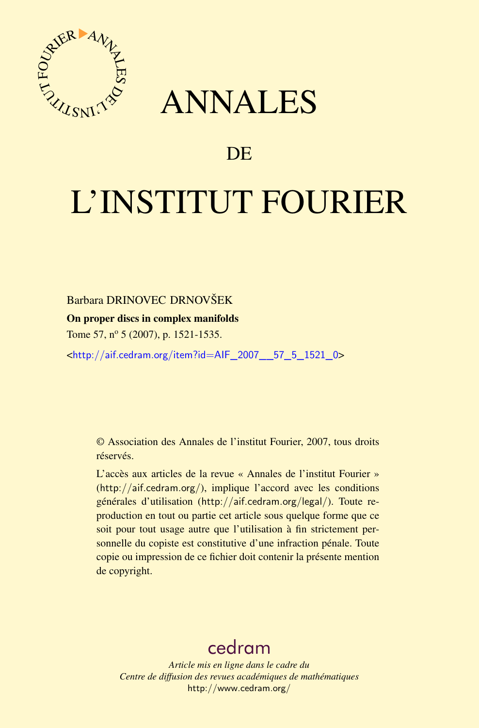

## ANNALES

### **DE**

# L'INSTITUT FOURIER

#### Barbara DRINOVEC DRNOVŠEK

#### On proper discs in complex manifolds

Tome 57, nº 5 (2007), p. 1521-1535.

<[http://aif.cedram.org/item?id=AIF\\_2007\\_\\_57\\_5\\_1521\\_0](http://aif.cedram.org/item?id=AIF_2007__57_5_1521_0)>

© Association des Annales de l'institut Fourier, 2007, tous droits réservés.

L'accès aux articles de la revue « Annales de l'institut Fourier » (<http://aif.cedram.org/>), implique l'accord avec les conditions générales d'utilisation (<http://aif.cedram.org/legal/>). Toute reproduction en tout ou partie cet article sous quelque forme que ce soit pour tout usage autre que l'utilisation à fin strictement personnelle du copiste est constitutive d'une infraction pénale. Toute copie ou impression de ce fichier doit contenir la présente mention de copyright.

## [cedram](http://www.cedram.org/)

*Article mis en ligne dans le cadre du Centre de diffusion des revues académiques de mathématiques* <http://www.cedram.org/>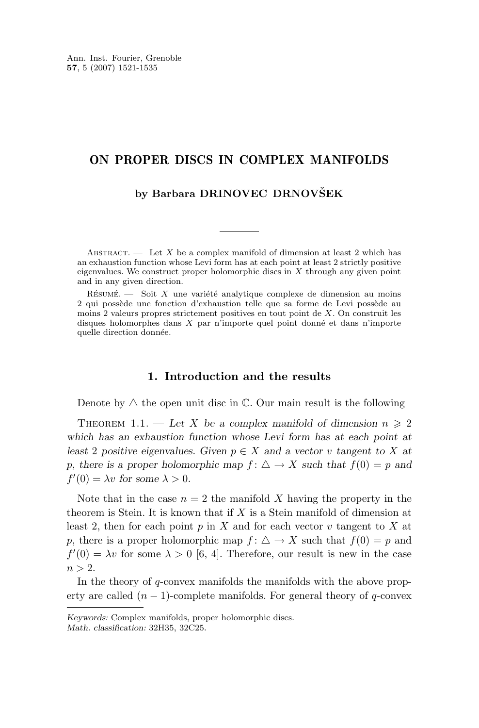#### <span id="page-1-0"></span>ON PROPER DISCS IN COMPLEX MANIFOLDS

#### **by Barbara DRINOVEC DRNOVŠEK**

ABSTRACT.  $\qquad$  Let X be a complex manifold of dimension at least 2 which has an exhaustion function whose Levi form has at each point at least 2 strictly positive eigenvalues. We construct proper holomorphic discs in  $X$  through any given point and in any given direction.

 $R$ ésumé. — Soit X une variété analytique complexe de dimension au moins 2 qui possède une fonction d'exhaustion telle que sa forme de Levi possède au moins 2 valeurs propres strictement positives en tout point de X. On construit les disques holomorphes dans X par n'importe quel point donné et dans n'importe quelle direction donnée.

#### **1. Introduction and the results**

Denote by  $\triangle$  the open unit disc in  $\mathbb{C}$ . Our main result is the following

THEOREM 1.1. — Let X be a complex manifold of dimension  $n \geq 2$ *which has an exhaustion function whose Levi form has at each point at least* 2 *positive eigenvalues. Given*  $p \in X$  *and a vector* v *tangent to* X *at* p, there is a proper holomorphic map  $f: \triangle \rightarrow X$  such that  $f(0) = p$  and  $f'(0) = \lambda v$  for some  $\lambda > 0$ .

Note that in the case  $n = 2$  the manifold X having the property in the theorem is Stein. It is known that if  $X$  is a Stein manifold of dimension at least 2, then for each point p in X and for each vector v tangent to X at p, there is a proper holomorphic map  $f: \triangle \rightarrow X$  such that  $f(0) = p$  and  $f'(0) = \lambda v$  for some  $\lambda > 0$  [\[6,](#page-14-0) [4\]](#page-14-0). Therefore, our result is new in the case  $n > 2$ .

In the theory of  $q$ -convex manifolds the manifolds with the above property are called  $(n - 1)$ -complete manifolds. For general theory of q-convex

*Keywords:* Complex manifolds, proper holomorphic discs. *Math. classification:* 32H35, 32C25.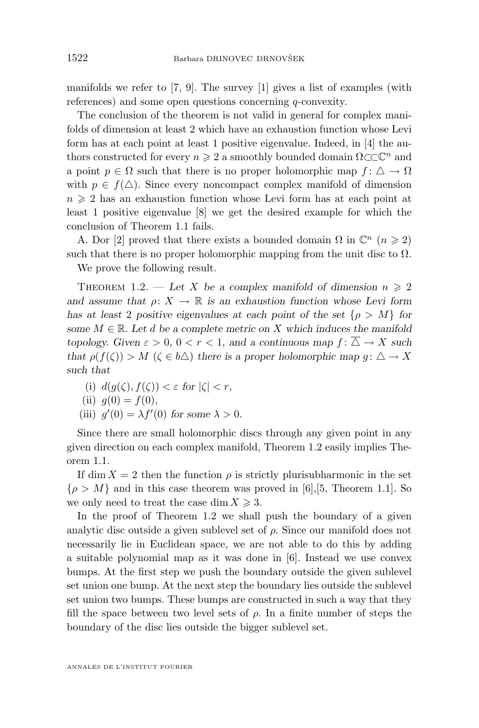<span id="page-2-0"></span>manifolds we refer to [\[7,](#page-14-0) [9\]](#page-14-0). The survey [\[1\]](#page-14-0) gives a list of examples (with references) and some open questions concerning q-convexity.

The conclusion of the theorem is not valid in general for complex manifolds of dimension at least 2 which have an exhaustion function whose Levi form has at each point at least 1 positive eigenvalue. Indeed, in [\[4\]](#page-14-0) the authors constructed for every  $n \geq 2$  a smoothly bounded domain  $\Omega \subset \mathbb{C}^n$  and a point  $p \in \Omega$  such that there is no proper holomorphic map  $f: \Delta \to \Omega$ with  $p \in f(\Delta)$ . Since every noncompact complex manifold of dimension  $n \geq 2$  has an exhaustion function whose Levi form has at each point at least 1 positive eigenvalue [\[8\]](#page-14-0) we get the desired example for which the conclusion of Theorem [1.1](#page-1-0) fails.

A. Dor [\[2\]](#page-14-0) proved that there exists a bounded domain  $\Omega$  in  $\mathbb{C}^n$   $(n \geq 2)$ such that there is no proper holomorphic mapping from the unit disc to  $\Omega$ .

We prove the following result.

THEOREM 1.2. — Let X be a complex manifold of dimension  $n \geq 2$ *and assume that*  $\rho: X \to \mathbb{R}$  *is an exhaustion function whose Levi form has at least* 2 *positive eigenvalues at each point of the set*  $\{\rho > M\}$  for *some*  $M \in \mathbb{R}$ *. Let d be a complete metric on* X which induces the manifold *topology. Given*  $\varepsilon > 0$ ,  $0 < r < 1$ , and a continuous map  $f: \triangle \rightarrow X$  such *that*  $\rho(f(\zeta)) > M$  ( $\zeta \in b\Delta$ ) *there is a proper holomorphic map*  $q: \Delta \to X$ *such that*

(i)  $d(g(\zeta), f(\zeta)) < \varepsilon$  for  $|\zeta| < r$ ,

(ii) 
$$
g(0) = f(0)
$$
,

(iii)  $g'(0) = \lambda f'(0)$  for some  $\lambda > 0$ .

Since there are small holomorphic discs through any given point in any given direction on each complex manifold, Theorem 1.2 easily implies Theorem [1.1.](#page-1-0)

If dim  $X = 2$  then the function  $\rho$  is strictly plurisubharmonic in the set  $\{\rho > M\}$  and in this case theorem was proved in [\[6\]](#page-14-0), [\[5,](#page-14-0) Theorem 1.1]. So we only need to treat the case dim  $X \geqslant 3$ .

In the proof of Theorem 1.2 we shall push the boundary of a given analytic disc outside a given sublevel set of  $\rho$ . Since our manifold does not necessarily lie in Euclidean space, we are not able to do this by adding a suitable polynomial map as it was done in [\[6\]](#page-14-0). Instead we use convex bumps. At the first step we push the boundary outside the given sublevel set union one bump. At the next step the boundary lies outside the sublevel set union two bumps. These bumps are constructed in such a way that they fill the space between two level sets of  $\rho$ . In a finite number of steps the boundary of the disc lies outside the bigger sublevel set.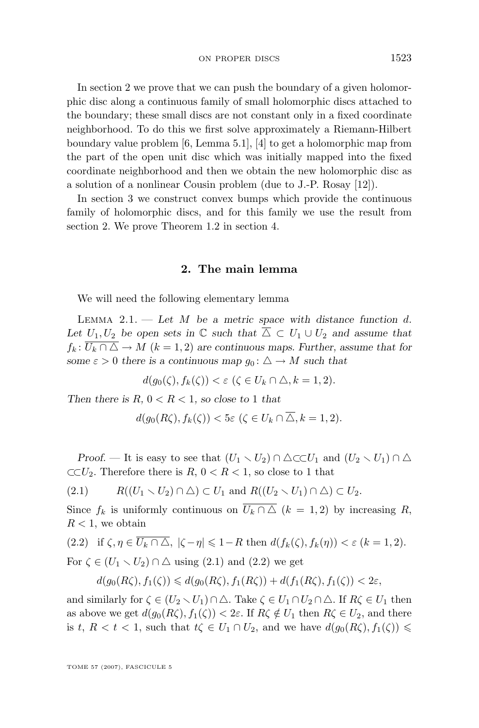<span id="page-3-0"></span>In section 2 we prove that we can push the boundary of a given holomorphic disc along a continuous family of small holomorphic discs attached to the boundary; these small discs are not constant only in a fixed coordinate neighborhood. To do this we first solve approximately a Riemann-Hilbert boundary value problem [\[6,](#page-14-0) Lemma 5.1], [\[4\]](#page-14-0) to get a holomorphic map from the part of the open unit disc which was initially mapped into the fixed coordinate neighborhood and then we obtain the new holomorphic disc as a solution of a nonlinear Cousin problem (due to J.-P. Rosay [\[12\]](#page-15-0)).

In section [3](#page-8-0) we construct convex bumps which provide the continuous family of holomorphic discs, and for this family we use the result from section 2. We prove Theorem [1.2](#page-2-0) in section [4.](#page-10-0)

#### **2. The main lemma**

We will need the following elementary lemma

Lemma 2.1. — *Let* M *be a metric space with distance function* d*.* Let  $U_1, U_2$  be open sets in  $\mathbb C$  *such that*  $\overline{\Delta} \subset U_1 \cup U_2$  *and assume that*  $f_k: \overline{U_k \cap \triangle} \to M$   $(k = 1, 2)$  are continuous maps. Further, assume that for *some*  $\varepsilon > 0$  *there is a continuous map*  $g_0: \Delta \to M$  *such that* 

$$
d(g_0(\zeta), f_k(\zeta)) < \varepsilon \ (\zeta \in U_k \cap \triangle, k = 1, 2).
$$

*Then there is*  $R$ *,*  $0 < R < 1$ *, so close to* 1 *that* 

$$
d(g_0(R\zeta), f_k(\zeta)) < 5\varepsilon \ (\zeta \in U_k \cap \triangle, k = 1, 2).
$$

*Proof.* — It is easy to see that  $(U_1 \setminus U_2) \cap \triangle \subset U_1$  and  $(U_2 \setminus U_1) \cap \triangle$  $\subset\subset U_2$ . Therefore there is  $R, 0 < R < 1$ , so close to 1 that

$$
(2.1) \t R((U_1 \setminus U_2) \cap \triangle) \subset U_1 \text{ and } R((U_2 \setminus U_1) \cap \triangle) \subset U_2.
$$

Since  $f_k$  is uniformly continuous on  $\overline{U_k \cap \triangle}$   $(k = 1, 2)$  by increasing R,  $R < 1$ , we obtain

(2.2) if 
$$
\zeta, \eta \in \overline{U_k \cap \Delta}
$$
,  $|\zeta - \eta| \leq 1 - R$  then  $d(f_k(\zeta), f_k(\eta)) < \varepsilon$   $(k = 1, 2)$ .  
For  $\zeta \in (U_1 \setminus U_2) \cap \Delta$  using (2.1) and (2.2) we get

$$
d(g_0(R\zeta), f_1(\zeta)) \leq d(g_0(R\zeta), f_1(R\zeta)) + d(f_1(R\zeta), f_1(\zeta)) < 2\varepsilon,
$$

and similarly for  $\zeta \in (U_2 \setminus U_1) \cap \triangle$ . Take  $\zeta \in U_1 \cap U_2 \cap \triangle$ . If  $R\zeta \in U_1$  then as above we get  $d(g_0(R\zeta), f_1(\zeta)) < 2\varepsilon$ . If  $R\zeta \notin U_1$  then  $R\zeta \in U_2$ , and there is t,  $R < t < 1$ , such that  $t\zeta \in U_1 \cap U_2$ , and we have  $d(g_0(R\zeta), f_1(\zeta)) \le$ 

TOME 57 (2007), FASCICULE 5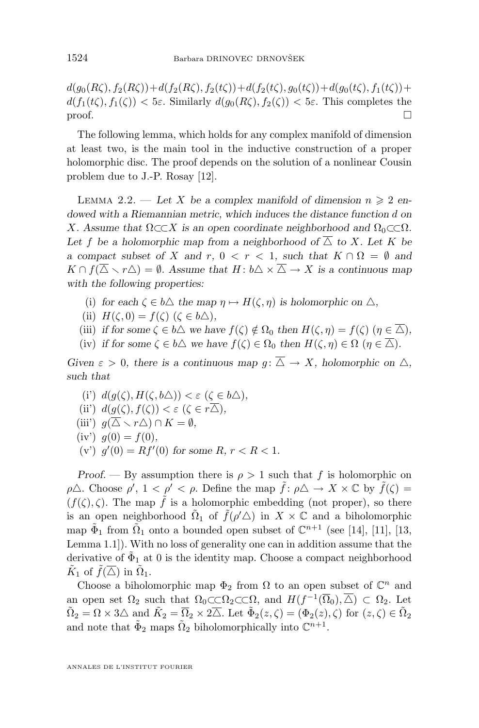<span id="page-4-0"></span> $d(g_0(R\zeta), f_2(R\zeta))+d(f_2(R\zeta), f_2(t\zeta))+d(f_2(t\zeta), g_0(t\zeta))+d(g_0(t\zeta), f_1(t\zeta))+$  $d(f_1(t\zeta), f_1(\zeta)) < 5\varepsilon$ . Similarly  $d(g_0(R\zeta), f_2(\zeta)) < 5\varepsilon$ . This completes the  $\Box$ 

The following lemma, which holds for any complex manifold of dimension at least two, is the main tool in the inductive construction of a proper holomorphic disc. The proof depends on the solution of a nonlinear Cousin problem due to J.-P. Rosay [\[12\]](#page-15-0).

LEMMA 2.2. — Let X be a complex manifold of dimension  $n \geq 2$  en*dowed with a Riemannian metric, which induces the distance function* d *on* X. Assume that  $\Omega \subset X$  is an open coordinate neighborhood and  $\Omega_0 \subset \subset \Omega$ . Let f be a holomorphic map from a neighborhood of  $\overline{\triangle}$  to X. Let K be *a* compact subset of X and r,  $0 < r < 1$ , such that  $K \cap \Omega = \emptyset$  and  $K \cap f(\overline{\triangle} \setminus r\triangle) = \emptyset$ . Assume that  $H: b \triangle \times \overline{\triangle} \rightarrow X$  is a continuous map *with the following properties:*

- (i) for each  $\zeta \in b\Delta$  the map  $\eta \mapsto H(\zeta, \eta)$  is holomorphic on  $\Delta$ ,
- (ii)  $H(\zeta, 0) = f(\zeta)$  ( $\zeta \in b\triangle$ ),
- (iii) *if for some*  $\zeta \in b\Delta$  *we have*  $f(\zeta) \notin \Omega_0$  *then*  $H(\zeta, \eta) = f(\zeta)$  ( $\eta \in \overline{\Delta}$ )*,*
- (iv) *if for some*  $\zeta \in b\Delta$  *we have*  $f(\zeta) \in \Omega_0$  *then*  $H(\zeta, \eta) \in \Omega$  ( $\eta \in \overline{\Delta}$ )*.*

*Given*  $\varepsilon > 0$ *, there is a continuous map*  $q: \overline{\Delta} \to X$ *, holomorphic on*  $\Delta$ *, such that*

(i')  $d(g(\zeta), H(\zeta, b\Delta)) < \varepsilon \ (\zeta \in b\Delta),$ (ii)  $d(g(\zeta), f(\zeta)) < \varepsilon \ (\zeta \in r\overline{\triangle}),$ (iii')  $g(\overline{\Delta} \setminus r\Delta) \cap K = \emptyset$ ,  $(iv') g(0) = f(0)$ , (v')  $g'(0) = Rf'(0)$  for some  $R, r < R < 1$ .

*Proof.* — By assumption there is  $\rho > 1$  such that f is holomorphic on  $\rho\Delta$ . Choose  $\rho'$ ,  $1 < \rho' < \rho$ . Define the map  $\tilde{f} : \rho\Delta \to X \times \mathbb{C}$  by  $\tilde{f}(\zeta) =$  $(f(\zeta), \zeta)$ . The map  $\tilde{f}$  is a holomorphic embedding (not proper), so there is an open neighborhood  $\tilde{\Omega}_1$  of  $\tilde{f}(\rho'\triangle)$  in  $X \times \mathbb{C}$  and a biholomorphic map  $\tilde{\Phi}_1$  from  $\tilde{\Omega}_1$  onto a bounded open subset of  $\mathbb{C}^{n+1}$  (see [\[14\]](#page-15-0), [\[11\]](#page-15-0), [\[13,](#page-15-0) Lemma 1.1]). With no loss of generality one can in addition assume that the derivative of  $\tilde{\Phi}_1$  at 0 is the identity map. Choose a compact neighborhood  $\tilde{K}_1$  of  $\tilde{f}(\overline{\triangle})$  in  $\tilde{\Omega}_1$ .

Choose a biholomorphic map  $\Phi_2$  from  $\Omega$  to an open subset of  $\mathbb{C}^n$  and an open set  $\Omega_2$  such that  $\Omega_0 \subset \subset \Omega_2 \subset \subset \Omega$ , and  $H(f^{-1}(\overline{\Omega}_0), \overline{\triangle}) \subset \Omega_2$ . Let  $\tilde{\Omega}_2 = \Omega \times 3\Delta$  and  $\tilde{K}_2 = \overline{\Omega}_2 \times 2\overline{\Delta}$ . Let  $\tilde{\Phi}_2(z,\zeta) = (\Phi_2(z),\zeta)$  for  $(z,\zeta) \in \tilde{\Omega}_2$ and note that  $\tilde{\Phi}_2$  maps  $\tilde{\Omega}_2$  biholomorphically into  $\mathbb{C}^{n+1}$ .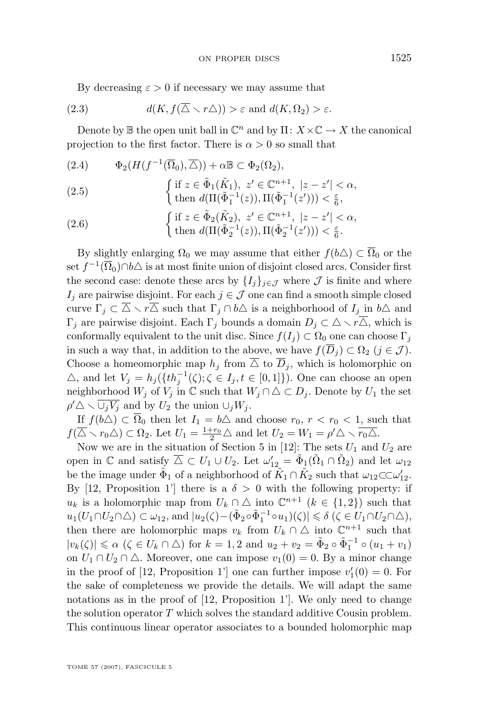<span id="page-5-0"></span>By decreasing  $\varepsilon > 0$  if necessary we may assume that

(2.3) 
$$
d(K, f(\overline{\triangle} \setminus r\triangle)) > \varepsilon \text{ and } d(K, \Omega_2) > \varepsilon.
$$

Denote by  $\mathbb B$  the open unit ball in  $\mathbb C^n$  and by  $\Pi: X \times \mathbb C \to X$  the canonical projection to the first factor. There is  $\alpha > 0$  so small that

$$
(2.4) \qquad \Phi_2(H(f^{-1}(\overline{\Omega}_0), \overline{\Delta})) + \alpha \mathbb{B} \subset \Phi_2(\Omega_2),
$$

(2.5) 
$$
\begin{cases} \text{if } z \in \tilde{\Phi}_1(\tilde{K}_1), \ z' \in \mathbb{C}^{n+1}, \ |z - z'| < \alpha, \\ \text{then } d(\Pi(\tilde{\Phi}_1^{-1}(z)), \Pi(\tilde{\Phi}_1^{-1}(z'))) < \frac{\varepsilon}{6}, \end{cases}
$$

(2.6) 
$$
\begin{cases} \text{if } z \in \tilde{\Phi}_2(\tilde{K}_2), \ z' \in \mathbb{C}^{n+1}, \ |z - z'| < \alpha, \\ \text{then } d(\Pi(\tilde{\Phi}_2^{-1}(z)), \Pi(\tilde{\Phi}_2^{-1}(z'))) < \frac{\varepsilon}{6}. \end{cases}
$$

By slightly enlarging  $\Omega_0$  we may assume that either  $f(b\Delta) \subset \overline{\Omega}_0$  or the set  $f^{-1}(\overline{\Omega}_0) \cap b \triangle$  is at most finite union of disjoint closed arcs. Consider first the second case: denote these arcs by  $\{I_i\}_{i\in\mathcal{J}}$  where  $\mathcal J$  is finite and where  $I_j$  are pairwise disjoint. For each  $j \in \mathcal{J}$  one can find a smooth simple closed curve  $\Gamma_j \subset \overline{\Delta} \setminus r\overline{\Delta}$  such that  $\Gamma_j \cap b\Delta$  is a neighborhood of  $I_j$  in  $b\Delta$  and  $\Gamma_i$  are pairwise disjoint. Each  $\Gamma_i$  bounds a domain  $D_i \subset \Delta \setminus r\overline{\Delta}$ , which is conformally equivalent to the unit disc. Since  $f(I_i) \subset \Omega_0$  one can choose  $\Gamma_i$ in such a way that, in addition to the above, we have  $f(\overline{D}_j) \subset \Omega_2$   $(j \in \mathcal{J})$ . Choose a homeomorphic map  $h_j$  from  $\overline{\Delta}$  to  $\overline{D}_j$ , which is holomorphic on  $\triangle$ , and let  $V_j = h_j({t h_j^{-1}(\zeta)}; \zeta \in I_j, t \in [0,1])$ . One can choose an open neighborhood  $W_j$  of  $V_j$  in  $\mathbb C$  such that  $W_j \cap \Delta \subset D_j$ . Denote by  $U_1$  the set  $\rho' \triangle \setminus \overline{\cup_j V_j}$  and by  $U_2$  the union  $\cup_j W_j$ .

If  $f(b\Delta) \subset \overline{\Omega}_0$  then let  $I_1 = b\Delta$  and choose  $r_0, r < r_0 < 1$ , such that  $f(\overline{\triangle} \setminus r_0 \triangle) \subset \Omega_2$ . Let  $U_1 = \frac{1+r_0}{2} \triangle$  and let  $U_2 = W_1 = \rho' \triangle \setminus \overline{r_0 \triangle}$ .

Now we are in the situation of Section 5 in [\[12\]](#page-15-0): The sets  $U_1$  and  $U_2$  are open in  $\mathbb C$  and satisfy  $\overline{\triangle} \subset U_1 \cup U_2$ . Let  $\omega'_{12} = \tilde{\Phi}_1(\tilde{\Omega}_1 \cap \tilde{\Omega}_2)$  and let  $\omega_{12}$ be the image under  $\tilde{\Phi}_1$  of a neighborhood of  $\tilde{K}_1 \cap \tilde{K}_2$  such that  $\omega_{12} \subset \subset \omega'_{12}$ . By [\[12,](#page-15-0) Proposition 1'] there is a  $\delta > 0$  with the following property: if  $u_k$  is a holomorphic map from  $U_k \cap \Delta$  into  $\mathbb{C}^{n+1}$   $(k \in \{1,2\})$  such that  $u_1(U_1 \cap U_2 \cap \Delta) \subset \omega_{12}$ , and  $|u_2(\zeta) - (\tilde{\Phi}_2 \circ \tilde{\Phi}_1^{-1} \circ u_1)(\zeta)| \leq \delta (\zeta \in U_1 \cap U_2 \cap \Delta),$ then there are holomorphic maps  $v_k$  from  $U_k \cap \Delta$  into  $\mathbb{C}^{n+1}$  such that  $|v_k(\zeta)| \le \alpha \ (\zeta \in U_k \cap \triangle)$  for  $k = 1, 2$  and  $u_2 + v_2 = \tilde{\Phi}_2 \circ \tilde{\Phi}_1^{-1} \circ (u_1 + v_1)$ on  $U_1 \cap U_2 \cap \Delta$ . Moreover, one can impose  $v_1(0) = 0$ . By a minor change in the proof of [\[12,](#page-15-0) Proposition 1'] one can further impose  $v_1'(0) = 0$ . For the sake of completeness we provide the details. We will adapt the same notations as in the proof of  $[12,$  Proposition 1'. We only need to change the solution operator  $T$  which solves the standard additive Cousin problem. This continuous linear operator associates to a bounded holomorphic map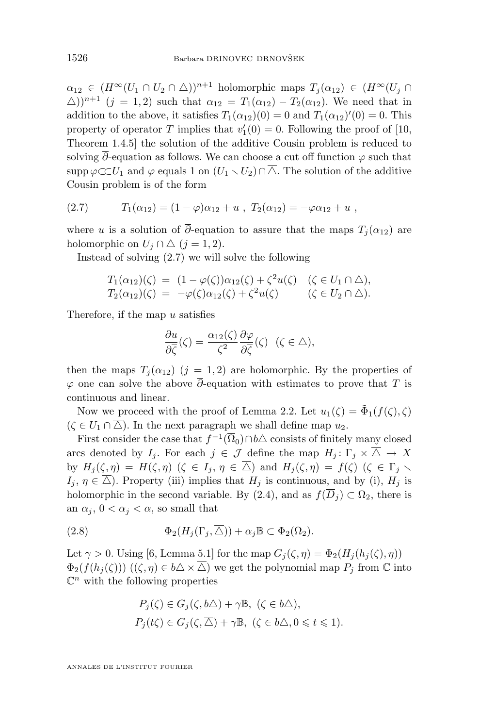<span id="page-6-0"></span> $\alpha_{12} \in (H^{\infty}(U_1 \cap U_2 \cap \triangle))^{n+1}$  holomorphic maps  $T_i(\alpha_{12}) \in (H^{\infty}(U_i \cap$  $(\Delta))^{n+1}$   $(j = 1, 2)$  such that  $\alpha_{12} = T_1(\alpha_{12}) - T_2(\alpha_{12})$ . We need that in addition to the above, it satisfies  $T_1(\alpha_{12})(0) = 0$  and  $T_1(\alpha_{12})'(0) = 0$ . This property of operator T implies that  $v'_1(0) = 0$ . Following the proof of [\[10,](#page-14-0) Theorem 1.4.5] the solution of the additive Cousin problem is reduced to solving  $\overline{\partial}$ -equation as follows. We can choose a cut off function  $\varphi$  such that supp  $\varphi \subset U_1$  and  $\varphi$  equals 1 on  $(U_1 \setminus U_2) \cap \overline{\Delta}$ . The solution of the additive Cousin problem is of the form

$$
(2.7) \t T_1(\alpha_{12}) = (1 - \varphi)\alpha_{12} + u , T_2(\alpha_{12}) = -\varphi\alpha_{12} + u ,
$$

where u is a solution of  $\overline{\partial}$ -equation to assure that the maps  $T_j(\alpha_{12})$  are holomorphic on  $U_j \cap \triangle$   $(j = 1, 2)$ .

Instead of solving (2.7) we will solve the following

$$
T_1(\alpha_{12})(\zeta) = (1 - \varphi(\zeta))\alpha_{12}(\zeta) + \zeta^2 u(\zeta) \quad (\zeta \in U_1 \cap \triangle),
$$
  
\n
$$
T_2(\alpha_{12})(\zeta) = -\varphi(\zeta)\alpha_{12}(\zeta) + \zeta^2 u(\zeta) \qquad (\zeta \in U_2 \cap \triangle).
$$

Therefore, if the map u satisfies

$$
\frac{\partial u}{\partial \overline{\zeta}}(\zeta) = \frac{\alpha_{12}(\zeta)}{\zeta^2} \frac{\partial \varphi}{\partial \overline{\zeta}}(\zeta) \quad (\zeta \in \triangle),
$$

then the maps  $T_j(\alpha_{12})$   $(j = 1, 2)$  are holomorphic. By the properties of  $\varphi$  one can solve the above  $\overline{\partial}$ -equation with estimates to prove that T is continuous and linear.

Now we proceed with the proof of Lemma [2.2.](#page-4-0) Let  $u_1(\zeta) = \tilde{\Phi}_1(f(\zeta), \zeta)$  $(\zeta \in U_1 \cap \overline{\triangle})$ . In the next paragraph we shall define map  $u_2$ .

First consider the case that  $f^{-1}(\overline{\Omega}_0) \cap b \triangle$  consists of finitely many closed arcs denoted by  $I_j$ . For each  $j \in \mathcal{J}$  define the map  $H_j: \Gamma_j \times \overline{\Delta} \to X$ by  $H_j(\zeta, \eta) = H(\zeta, \eta)$   $(\zeta \in I_j, \eta \in \overline{\triangle})$  and  $H_j(\zeta, \eta) = f(\zeta)$   $(\zeta \in \Gamma_j \setminus \overline{\square})$  $I_j, \eta \in \overline{\triangle}$ ). Property (iii) implies that  $H_j$  is continuous, and by (i),  $H_j$  is holomorphic in the second variable. By [\(2.4\)](#page-5-0), and as  $f(\overline{D}_i) \subset \Omega_2$ , there is an  $\alpha_i$ ,  $0 < \alpha_i < \alpha$ , so small that

(2.8) 
$$
\Phi_2(H_j(\Gamma_j, \overline{\triangle})) + \alpha_j \mathbb{B} \subset \Phi_2(\Omega_2).
$$

Let  $\gamma > 0$ . Using [\[6,](#page-14-0) Lemma 5.1] for the map  $G_i(\zeta, \eta) = \Phi_2(H_i(h_i(\zeta), \eta))$  –  $\Phi_2(f(h_j(\zeta)))$   $((\zeta, \eta) \in b \triangle \times \overline{\triangle})$  we get the polynomial map  $P_j$  from  $\mathbb C$  into  $\mathbb{C}^n$  with the following properties

$$
P_j(\zeta) \in G_j(\zeta, b\triangle) + \gamma \mathbb{B}, \ (\zeta \in b\triangle),
$$
  

$$
P_j(t\zeta) \in G_j(\zeta, \overline{\triangle}) + \gamma \mathbb{B}, \ (\zeta \in b\triangle, 0 \leq t \leq 1).
$$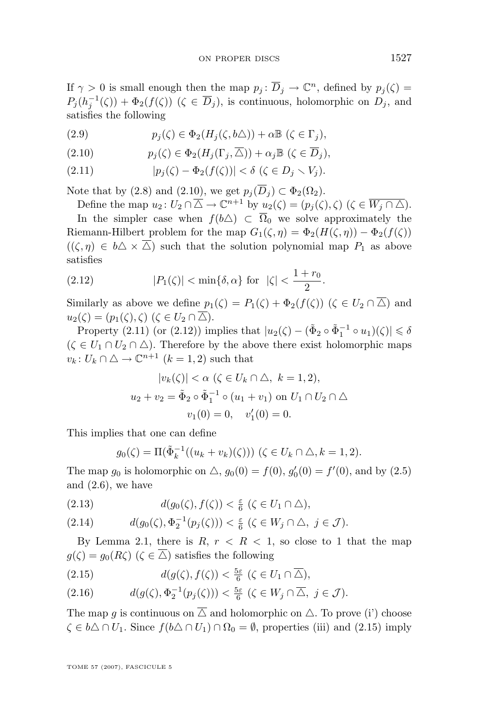<span id="page-7-0"></span>If  $\gamma > 0$  is small enough then the map  $p_j : \overline{D}_j \to \mathbb{C}^n$ , defined by  $p_j(\zeta) =$  $P_j(h_j^{-1}(\zeta)) + \Phi_2(f(\zeta))$   $(\zeta \in \overline{D}_j)$ , is continuous, holomorphic on  $D_j$ , and satisfies the following

(2.9) 
$$
p_j(\zeta) \in \Phi_2(H_j(\zeta, b\triangle)) + \alpha \mathbb{B}(\zeta \in \Gamma_j),
$$

(2.10) 
$$
p_j(\zeta) \in \Phi_2(H_j(\Gamma_j, \overline{\triangle})) + \alpha_j \mathbb{B} \ (\zeta \in \overline{D}_j),
$$

(2.11) 
$$
|p_j(\zeta) - \Phi_2(f(\zeta))| < \delta \ (\zeta \in D_j \setminus V_j).
$$

Note that by [\(2.8\)](#page-6-0) and (2.10), we get  $p_i(\overline{D}_i) \subset \Phi_2(\Omega_2)$ .

Define the map  $u_2: U_2 \cap \overline{\Delta} \to \mathbb{C}^{n+1}$  by  $u_2(\zeta) = (p_j(\zeta), \zeta)$   $(\zeta \in \overline{W_j \cap \Delta})$ . In the simpler case when  $f(b\triangle) \subset \overline{\Omega}_0$  we solve approximately the Riemann-Hilbert problem for the map  $G_1(\zeta, \eta) = \Phi_2(H(\zeta, \eta)) - \Phi_2(f(\zeta))$  $((\zeta,\eta) \in b\Delta \times \overline{\Delta})$  such that the solution polynomial map  $P_1$  as above satisfies

(2.12) 
$$
|P_1(\zeta)| < \min{\delta, \alpha}
$$
 for  $|\zeta| < \frac{1+r_0}{2}$ .

Similarly as above we define  $p_1(\zeta) = P_1(\zeta) + \Phi_2(f(\zeta))$   $(\zeta \in U_2 \cap \overline{\triangle})$  and  $u_2(\zeta) = (p_1(\zeta), \zeta) \ (\zeta \in U_2 \cap \overline{\triangle}).$ 

Property (2.11) (or (2.12)) implies that  $|u_2(\zeta) - (\tilde{\Phi}_2 \circ \tilde{\Phi}_1^{-1} \circ u_1)(\zeta)| \leq \delta$  $(\zeta \in U_1 \cap U_2 \cap \triangle)$ . Therefore by the above there exist holomorphic maps  $v_k: U_k \cap \triangle \rightarrow \mathbb{C}^{n+1}$   $(k = 1, 2)$  such that

$$
|v_k(\zeta)| < \alpha \ (\zeta \in U_k \cap \triangle, \ k = 1, 2),
$$
  

$$
u_2 + v_2 = \tilde{\Phi}_2 \circ \tilde{\Phi}_1^{-1} \circ (u_1 + v_1) \text{ on } U_1 \cap U_2 \cap \triangle
$$
  

$$
v_1(0) = 0, \quad v'_1(0) = 0.
$$

This implies that one can define

$$
g_0(\zeta) = \Pi(\tilde{\Phi}_k^{-1}((u_k + v_k)(\zeta))) \ (\zeta \in U_k \cap \triangle, k = 1, 2).
$$

The map  $g_0$  is holomorphic on  $\triangle$ ,  $g_0(0) = f(0)$ ,  $g'_0(0) = f'(0)$ , and by [\(2.5\)](#page-5-0) and  $(2.6)$ , we have

(2.13) 
$$
d(g_0(\zeta), f(\zeta)) < \frac{\varepsilon}{6} \ (\zeta \in U_1 \cap \triangle),
$$

$$
(2.14) \t d(g_0(\zeta), \Phi_2^{-1}(p_j(\zeta))) < \frac{\varepsilon}{6} \ (\zeta \in W_j \cap \triangle, \ j \in \mathcal{J}).
$$

By Lemma [2.1,](#page-3-0) there is  $R, r < R < 1$ , so close to 1 that the map  $g(\zeta) = g_0(R\zeta)$   $(\zeta \in \overline{\triangle})$  satisfies the following

(2.15) 
$$
d(g(\zeta), f(\zeta)) < \frac{5\varepsilon}{6} \ (\zeta \in U_1 \cap \overline{\triangle}),
$$

(2.16) 
$$
d(g(\zeta), \Phi_2^{-1}(p_j(\zeta))) < \frac{5\varepsilon}{6} \ (\zeta \in W_j \cap \overline{\triangle}, \ j \in \mathcal{J}).
$$

The map g is continuous on  $\overline{\triangle}$  and holomorphic on  $\triangle$ . To prove (i') choose  $\zeta \in b\Delta \cap U_1$ . Since  $f(b\Delta \cap U_1) \cap \Omega_0 = \emptyset$ , properties (iii) and (2.15) imply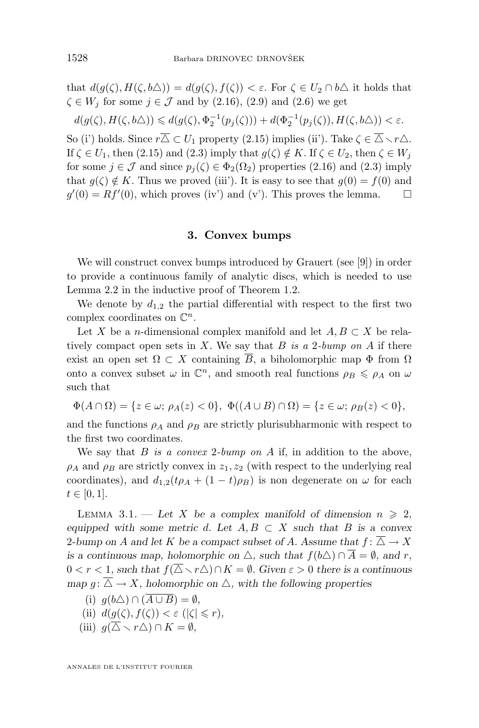<span id="page-8-0"></span>that  $d(g(\zeta), H(\zeta, b\Delta)) = d(g(\zeta), f(\zeta)) < \varepsilon$ . For  $\zeta \in U_2 \cap b\Delta$  it holds that  $\zeta \in W_i$  for some  $j \in \mathcal{J}$  and by [\(2.16\)](#page-7-0), [\(2.9\)](#page-7-0) and [\(2.6\)](#page-5-0) we get

$$
d(g(\zeta),H(\zeta,b\triangle))\leqslant d(g(\zeta),\Phi_2^{-1}(p_j(\zeta)))+d(\Phi_2^{-1}(p_j(\zeta)),H(\zeta,b\triangle))<\varepsilon.
$$

So (i') holds. Since  $r\overline{\Delta} \subset U_1$  property [\(2.15\)](#page-7-0) implies (ii'). Take  $\zeta \in \overline{\Delta} \setminus r\Delta$ . If  $\zeta \in U_1$ , then [\(2.15\)](#page-7-0) and [\(2.3\)](#page-5-0) imply that  $g(\zeta) \notin K$ . If  $\zeta \in U_2$ , then  $\zeta \in W_j$ for some  $j \in \mathcal{J}$  and since  $p_i(\zeta) \in \Phi_2(\Omega_2)$  properties [\(2.16\)](#page-7-0) and [\(2.3\)](#page-5-0) imply that  $g(\zeta) \notin K$ . Thus we proved (iii). It is easy to see that  $g(0) = f(0)$  and  $g'(0) = Rf'(0)$ , which proves (iv') and (v'). This proves the lemma.  $\square$ 

#### **3. Convex bumps**

We will construct convex bumps introduced by Grauert (see [\[9\]](#page-14-0)) in order to provide a continuous family of analytic discs, which is needed to use Lemma [2.2](#page-4-0) in the inductive proof of Theorem [1.2.](#page-2-0)

We denote by  $d_{1,2}$  the partial differential with respect to the first two complex coordinates on  $\mathbb{C}^n$ .

Let X be a n-dimensional complex manifold and let  $A, B \subset X$  be relatively compact open sets in X. We say that B *is a* 2*-bump on* A if there exist an open set  $\Omega \subset X$  containing  $\overline{B}$ , a biholomorphic map  $\Phi$  from  $\Omega$ onto a convex subset  $\omega$  in  $\mathbb{C}^n$ , and smooth real functions  $\rho_B \leq \rho_A$  on  $\omega$ such that

$$
\Phi(A\cap\Omega)=\{z\in\omega;\,\rho_A(z)<0\},\,\,\Phi((A\cup B)\cap\Omega)=\{z\in\omega;\,\rho_B(z)<0\},
$$

and the functions  $\rho_A$  and  $\rho_B$  are strictly plurisubharmonic with respect to the first two coordinates.

We say that B *is a convex* 2*-bump on* A if, in addition to the above,  $\rho_A$  and  $\rho_B$  are strictly convex in  $z_1, z_2$  (with respect to the underlying real coordinates), and  $d_{1,2}(t\rho_A + (1-t)\rho_B)$  is non degenerate on  $\omega$  for each  $t \in [0, 1].$ 

LEMMA 3.1. — Let X be a complex manifold of dimension  $n \geq 2$ , *equipped with some metric d.* Let  $A, B \subset X$  *such that* B *is a convex* 2-bump on A and let K be a compact subset of A. Assume that  $f: \overline{\triangle} \rightarrow X$ *is a continuous map, holomorphic on*  $\triangle$ *, such that*  $f(b\triangle) \cap \overline{A} = \emptyset$ *, and r*,  $0 < r < 1$ , such that  $f(\overline{\Delta} \setminus r\Delta) \cap K = \emptyset$ . Given  $\varepsilon > 0$  there is a continuous *map*  $q: \overline{\triangle} \rightarrow X$ *, holomorphic on*  $\triangle$ *, with the following properties* 

- (i)  $q(b\triangle) \cap (\overline{A \cup B}) = \emptyset$ ,
- (ii)  $d(g(\zeta), f(\zeta)) < \varepsilon$  ( $|\zeta| \leq r$ ),
- (iii)  $g(\overline{\Delta} \setminus r\Delta) \cap K = \emptyset$ ,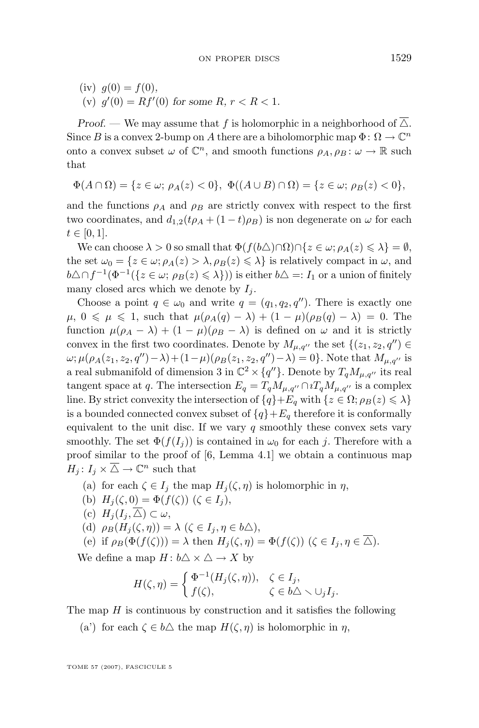$(iv) q(0) = f(0)$ , (v)  $g'(0) = Rf'(0)$  for some  $R, r < R < 1$ .

*Proof.* — We may assume that f is holomorphic in a neighborhood of  $\overline{\triangle}$ . Since B is a convex 2-bump on A there are a biholomorphic map  $\Phi: \Omega \to \mathbb{C}^n$ onto a convex subset  $\omega$  of  $\mathbb{C}^n$ , and smooth functions  $\rho_A, \rho_B : \omega \to \mathbb{R}$  such that

$$
\Phi(A \cap \Omega) = \{ z \in \omega; \, \rho_A(z) < 0 \}, \, \Phi((A \cup B) \cap \Omega) = \{ z \in \omega; \, \rho_B(z) < 0 \},
$$

and the functions  $\rho_A$  and  $\rho_B$  are strictly convex with respect to the first two coordinates, and  $d_{1,2}(t\rho_A + (1-t)\rho_B)$  is non degenerate on  $\omega$  for each  $t \in [0, 1].$ 

We can choose  $\lambda > 0$  so small that  $\Phi(f(b\triangle)\cap\Omega)\cap\{z\in\omega;\rho_A(z)\leq \lambda\}=\emptyset$ , the set  $\omega_0 = \{z \in \omega; \rho_A(z) > \lambda, \rho_B(z) \leq \lambda\}$  is relatively compact in  $\omega$ , and  $b\triangle \cap f^{-1}(\Phi^{-1}(\{z \in \omega; \rho_B(z) \leq \lambda\}))$  is either  $b\triangle =: I_1$  or a union of finitely many closed arcs which we denote by  $I_i$ .

Choose a point  $q \in \omega_0$  and write  $q = (q_1, q_2, q'')$ . There is exactly one  $\mu$ ,  $0 \le \mu \le 1$ , such that  $\mu(\rho_A(q) - \lambda) + (1 - \mu)(\rho_B(q) - \lambda) = 0$ . The function  $\mu(\rho_A - \lambda) + (1 - \mu)(\rho_B - \lambda)$  is defined on  $\omega$  and it is strictly convex in the first two coordinates. Denote by  $M_{\mu,q''}$  the set  $\{(z_1, z_2, q'') \in$  $ω; μ(ρ<sub>A</sub>(z<sub>1</sub>, z<sub>2</sub>, q'') – λ) + (1-μ)(ρ<sub>B</sub>(z<sub>1</sub>, z<sub>2</sub>, q'') – λ) = 0}.$  Note that  $M<sub>μ,q''</sub>$  is a real submanifold of dimension 3 in  $\mathbb{C}^2 \times \{q''\}$ . Denote by  $T_q M_{\mu,q''}$  its real tangent space at q. The intersection  $E_q = T_q M_{\mu,q''} \cap i T_q M_{\mu,q''}$  is a complex line. By strict convexity the intersection of  $\{q\}+E_q$  with  $\{z \in \Omega; \rho_B(z) \leq \lambda\}$ is a bounded connected convex subset of  ${q}$ + $E_q$  therefore it is conformally equivalent to the unit disc. If we vary  $q$  smoothly these convex sets vary smoothly. The set  $\Phi(f(I_i))$  is contained in  $\omega_0$  for each j. Therefore with a proof similar to the proof of [\[6,](#page-14-0) Lemma 4.1] we obtain a continuous map  $H_j: I_j \times \overline{\triangle} \to \mathbb{C}^n$  such that

(a) for each 
$$
\zeta \in I_j
$$
 the map  $H_j(\zeta, \eta)$  is holomorphic in  $\eta$ ,

- (b)  $H_i(\zeta, 0) = \Phi(f(\zeta))$   $(\zeta \in I_i),$
- (c)  $H_j(I_j,\overline{\triangle})\subset\omega,$

(d) 
$$
\rho_B(H_j(\zeta, \eta)) = \lambda \ (\zeta \in I_j, \eta \in b \triangle),
$$

(e) if 
$$
\rho_B(\Phi(f(\zeta))) = \lambda
$$
 then  $H_j(\zeta, \eta) = \Phi(f(\zeta))$  ( $\zeta \in I_j, \eta \in \overline{\triangle}$ ).

We define a map  $H: b \triangle \times \triangle \rightarrow X$  by

$$
H(\zeta, \eta) = \begin{cases} \Phi^{-1}(H_j(\zeta, \eta)), & \zeta \in I_j, \\ f(\zeta), & \zeta \in b \triangle \smallsetminus \cup_j I_j. \end{cases}
$$

The map  $H$  is continuous by construction and it satisfies the following

(a') for each  $\zeta \in b\Delta$  the map  $H(\zeta, \eta)$  is holomorphic in  $\eta$ ,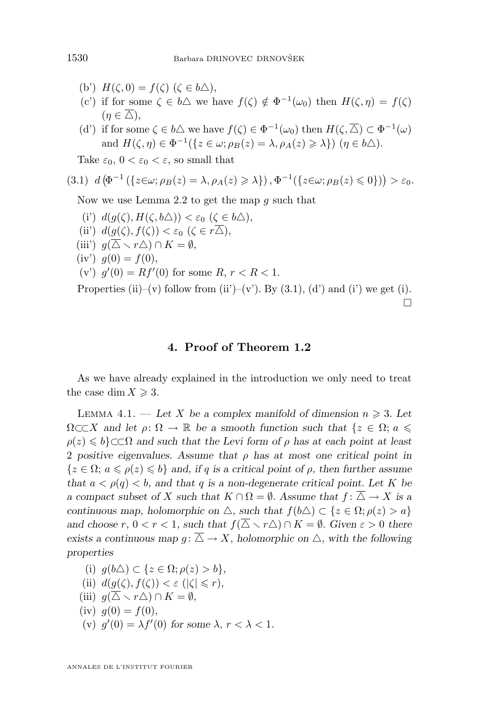- (b')  $H(\zeta, 0) = f(\zeta)$  ( $\zeta \in b\triangle$ ),
- (c') if for some  $\zeta \in b\Delta$  we have  $f(\zeta) \notin \Phi^{-1}(\omega_0)$  then  $H(\zeta, \eta) = f(\zeta)$  $(n \in \overline{\triangle})$ ,
- (d') if for some  $\zeta \in b\Delta$  we have  $f(\zeta) \in \Phi^{-1}(\omega_0)$  then  $H(\zeta, \overline{\Delta}) \subset \Phi^{-1}(\omega)$ and  $H(\zeta, \eta) \in \Phi^{-1}(\{z \in \omega; \rho_B(z) = \lambda, \rho_A(z) \geq \lambda\}) \ (\eta \in b \triangle).$

Take  $\varepsilon_0$ ,  $0 < \varepsilon_0 < \varepsilon$ , so small that

$$
(3.1) d(\Phi^{-1}(\{z \in \omega; \rho_B(z) = \lambda, \rho_A(z) \geq \lambda\}), \Phi^{-1}(\{z \in \omega; \rho_B(z) \leq 0\}) > \varepsilon_0.
$$

Now we use Lemma [2.2](#page-4-0) to get the map q such that

- (i')  $d(g(\zeta), H(\zeta, b\Delta)) < \varepsilon_0 \ (\zeta \in b\Delta),$
- (ii')  $d(g(\zeta), f(\zeta)) < \varepsilon_0 \ (\zeta \in r\overline{\triangle}),$
- (iii')  $q(\overline{\triangle} \setminus r\triangle) \cap K = \emptyset$ ,
- (iv')  $g(0) = f(0)$ ,
- (v')  $g'(0) = Rf'(0)$  for some  $R, r < R < 1$ .

Properties (ii)–(v) follow from (ii')–(v'). By  $(3.1)$ , (d') and (i') we get (i).  $\Box$ 

#### **4. Proof of Theorem [1.2](#page-2-0)**

As we have already explained in the introduction we only need to treat the case dim  $X \geqslant 3$ .

LEMMA 4.1. — Let X be a complex manifold of dimension  $n \geq 3$ . Let  $\Omega \subset \subset X$  and let  $\rho: \Omega \to \mathbb{R}$  be a smooth function such that  $\{z \in \Omega : a \leq \Omega\}$  $\rho(z) \leq b$  ⊂⊂Ω and such that the Levi form of  $\rho$  has at each point at least 2 *positive eigenvalues. Assume that* ρ *has at most one critical point in*  $\{z \in \Omega; a \leqslant \rho(z) \leqslant b\}$  *and, if q is a critical point of*  $\rho$ *, then further assume that*  $a < \rho(q) < b$ , and that q is a non-degenerate critical point. Let K be *a compact subset of* X *such that*  $K \cap \Omega = \emptyset$ *. Assume that*  $f: \overline{\triangle} \rightarrow X$  *is a continuous map, holomorphic on*  $\triangle$ *, such that*  $f(b\triangle) \subset \{z \in \Omega; \rho(z) > a\}$ *and choose*  $r, 0 < r < 1$ *, such that*  $f(\overline{\Delta} \setminus r\Delta) \cap K = \emptyset$ *. Given*  $\varepsilon > 0$  *there exists a continuous map*  $q: \overline{\Delta} \to X$ *, holomorphic on*  $\Delta$ *, with the following properties*

- (i)  $g(b\triangle) \subset \{z \in \Omega; \rho(z) > b\},\$
- (ii)  $d(g(\zeta), f(\zeta)) < \varepsilon$  ( $|\zeta| \leq r$ ),
- (iii)  $g(\Delta \setminus r\Delta) \cap K = \emptyset$ ,
- (iv)  $g(0) = f(0)$ ,
- (v)  $g'(0) = \lambda f'(0)$  for some  $\lambda, r < \lambda < 1$ .

<span id="page-10-0"></span>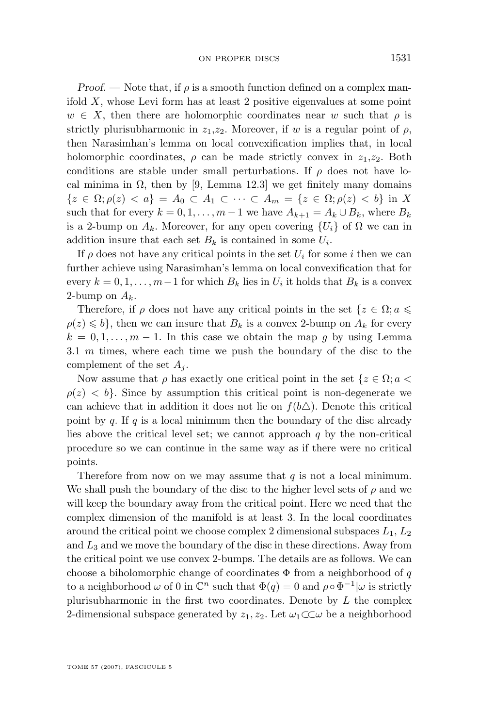*Proof.* — Note that, if  $\rho$  is a smooth function defined on a complex manifold  $X$ , whose Levi form has at least 2 positive eigenvalues at some point  $w \in X$ , then there are holomorphic coordinates near w such that  $\rho$  is strictly plurisubharmonic in  $z_1, z_2$ . Moreover, if w is a regular point of  $\rho$ , then Narasimhan's lemma on local convexification implies that, in local holomorphic coordinates,  $\rho$  can be made strictly convex in  $z_1, z_2$ . Both conditions are stable under small perturbations. If  $\rho$  does not have local minima in  $\Omega$ , then by [\[9,](#page-14-0) Lemma 12.3] we get finitely many domains  $\{z \in \Omega; \rho(z) < a\} = A_0 \subset A_1 \subset \cdots \subset A_m = \{z \in \Omega; \rho(z) < b\}$  in X such that for every  $k = 0, 1, \ldots, m - 1$  we have  $A_{k+1} = A_k \cup B_k$ , where  $B_k$ is a 2-bump on  $A_k$ . Moreover, for any open covering  $\{U_i\}$  of  $\Omega$  we can in addition insure that each set  $B_k$  is contained in some  $U_i$ .

If  $\rho$  does not have any critical points in the set  $U_i$  for some i then we can further achieve using Narasimhan's lemma on local convexification that for every  $k = 0, 1, \ldots, m-1$  for which  $B_k$  lies in  $U_i$  it holds that  $B_k$  is a convex 2-bump on  $A_k$ .

Therefore, if  $\rho$  does not have any critical points in the set  $\{z \in \Omega : a \leq \rho\}$  $\rho(z) \leq b$ , then we can insure that  $B_k$  is a convex 2-bump on  $A_k$  for every  $k = 0, 1, \ldots, m - 1$ . In this case we obtain the map g by using Lemma [3.1](#page-8-0)  $m$  times, where each time we push the boundary of the disc to the complement of the set  $A_i$ .

Now assume that  $\rho$  has exactly one critical point in the set  $\{z \in \Omega : a < \rho\}$  $\rho(z) < b$ . Since by assumption this critical point is non-degenerate we can achieve that in addition it does not lie on  $f(b\Delta)$ . Denote this critical point by  $q$ . If  $q$  is a local minimum then the boundary of the disc already lies above the critical level set; we cannot approach  $q$  by the non-critical procedure so we can continue in the same way as if there were no critical points.

Therefore from now on we may assume that  $q$  is not a local minimum. We shall push the boundary of the disc to the higher level sets of  $\rho$  and we will keep the boundary away from the critical point. Here we need that the complex dimension of the manifold is at least 3. In the local coordinates around the critical point we choose complex 2 dimensional subspaces  $L_1, L_2$ and  $L_3$  and we move the boundary of the disc in these directions. Away from the critical point we use convex 2-bumps. The details are as follows. We can choose a biholomorphic change of coordinates  $\Phi$  from a neighborhood of q to a neighborhood  $\omega$  of 0 in  $\mathbb{C}^n$  such that  $\Phi(q) = 0$  and  $\rho \circ \Phi^{-1}|\omega$  is strictly plurisubharmonic in the first two coordinates. Denote by  $L$  the complex 2-dimensional subspace generated by  $z_1, z_2$ . Let  $\omega_1 \subset \subset \omega$  be a neighborhood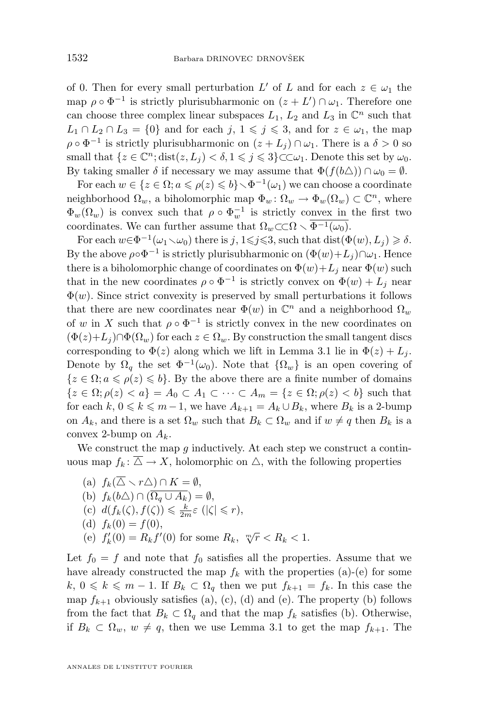of 0. Then for every small perturbation  $L'$  of  $L$  and for each  $z \in \omega_1$  the map  $\rho \circ \Phi^{-1}$  is strictly plurisubharmonic on  $(z + L') \cap \omega_1$ . Therefore one can choose three complex linear subspaces  $L_1$ ,  $L_2$  and  $L_3$  in  $\mathbb{C}^n$  such that  $L_1 \cap L_2 \cap L_3 = \{0\}$  and for each  $j, 1 \leq j \leq 3$ , and for  $z \in \omega_1$ , the map  $\rho \circ \Phi^{-1}$  is strictly plurisubharmonic on  $(z + L_j) \cap \omega_1$ . There is a  $\delta > 0$  so small that  $\{z \in \mathbb{C}^n; \text{dist}(z, L_j) < \delta, 1 \leq j \leq 3\} \subset \subset \omega_1$ . Denote this set by  $\omega_0$ . By taking smaller  $\delta$  if necessary we may assume that  $\Phi(f(b\triangle)) \cap \omega_0 = \emptyset$ .

For each  $w \in \{z \in \Omega; a \leqslant \rho(z) \leqslant b\} \setminus \Phi^{-1}(\omega_1)$  we can choose a coordinate neighborhood  $\Omega_w$ , a biholomorphic map  $\Phi_w \colon \Omega_w \to \Phi_w(\Omega_w) \subset \mathbb{C}^n$ , where  $\Phi_w(\Omega_w)$  is convex such that  $\rho \circ \Phi_w^{-1}$  is strictly convex in the first two coordinates. We can further assume that  $\Omega_w \subset \Omega \setminus \overline{\Phi^{-1}(\omega_0)}$ .

For each  $w \in \Phi^{-1}(\omega_1 \setminus \omega_0)$  there is j,  $1 \leq j \leq 3$ , such that  $dist(\Phi(w), L_j) \geq \delta$ . By the above  $\rho \circ \Phi^{-1}$  is strictly plurisubharmonic on  $(\Phi(w) + L_j) \cap \omega_1$ . Hence there is a biholomorphic change of coordinates on  $\Phi(w) + L_i$  near  $\Phi(w)$  such that in the new coordinates  $\rho \circ \Phi^{-1}$  is strictly convex on  $\Phi(w) + L_j$  near  $\Phi(w)$ . Since strict convexity is preserved by small perturbations it follows that there are new coordinates near  $\Phi(w)$  in  $\mathbb{C}^n$  and a neighborhood  $\Omega_w$ of w in X such that  $\rho \circ \Phi^{-1}$  is strictly convex in the new coordinates on  $(\Phi(z)+L_i)\cap \Phi(\Omega_w)$  for each  $z\in \Omega_w$ . By construction the small tangent discs corresponding to  $\Phi(z)$  along which we lift in Lemma [3.1](#page-8-0) lie in  $\Phi(z) + L_i$ . Denote by  $\Omega_q$  the set  $\Phi^{-1}(\omega_0)$ . Note that  $\{\Omega_w\}$  is an open covering of  ${z \in \Omega; a \leqslant \rho(z) \leqslant b}$ . By the above there are a finite number of domains  ${z \in \Omega; \rho(z) < a} = A_0 \subset A_1 \subset \cdots \subset A_m = {z \in \Omega; \rho(z) < b}$  such that for each  $k, 0 \leq k \leq m-1$ , we have  $A_{k+1} = A_k \cup B_k$ , where  $B_k$  is a 2-bump on  $A_k$ , and there is a set  $\Omega_w$  such that  $B_k \subset \Omega_w$  and if  $w \neq q$  then  $B_k$  is a convex 2-bump on  $A_k$ .

We construct the map  $q$  inductively. At each step we construct a continuous map  $f_k: \overline{\triangle} \to X$ , holomorphic on  $\triangle$ , with the following properties

\n- (a) 
$$
f_k(\overline{\Delta} \setminus r\Delta) \cap K = \emptyset
$$
,
\n- (b)  $f_k(b\Delta) \cap (\overline{\Omega_q \cup A_k}) = \emptyset$ ,
\n- (c)  $d(f_k(\zeta), f(\zeta)) \leq \frac{k}{2m}\varepsilon$  ( $|\zeta| \leq r$ ),
\n- (d)  $f_k(0) = f(0)$ ,
\n- (e)  $f'_k(0) = R_k f'(0)$  for some  $R_k$ ,  $\sqrt[m]{r} < R_k < 1$ .
\n

Let  $f_0 = f$  and note that  $f_0$  satisfies all the properties. Assume that we have already constructed the map  $f_k$  with the properties (a)-(e) for some  $k, 0 \leq k \leq m-1$ . If  $B_k \subset \Omega_q$  then we put  $f_{k+1} = f_k$ . In this case the map  $f_{k+1}$  obviously satisfies (a), (c), (d) and (e). The property (b) follows from the fact that  $B_k \subset \Omega_q$  and that the map  $f_k$  satisfies (b). Otherwise, if  $B_k \subset \Omega_w$ ,  $w \neq q$ , then we use Lemma [3.1](#page-8-0) to get the map  $f_{k+1}$ . The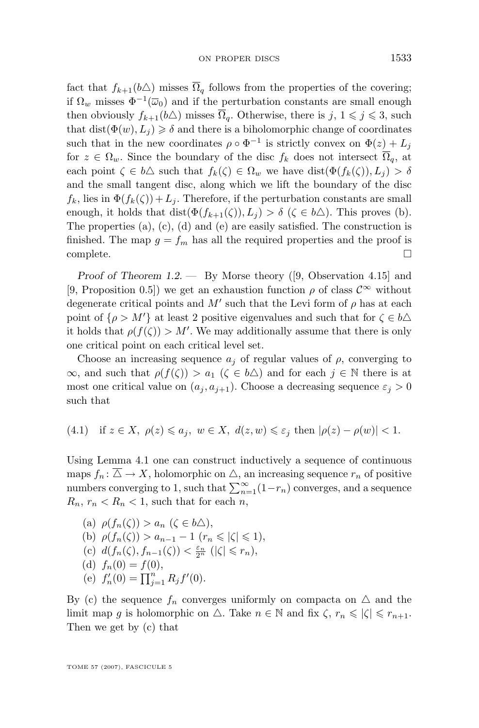<span id="page-13-0"></span>fact that  $f_{k+1}(b\Delta)$  misses  $\overline{\Omega}_q$  follows from the properties of the covering; if  $\Omega_w$  misses  $\Phi^{-1}(\overline{\omega}_0)$  and if the perturbation constants are small enough then obviously  $f_{k+1}(b\Delta)$  misses  $\overline{\Omega}_q$ . Otherwise, there is  $j, 1 \leq j \leq 3$ , such that dist( $\Phi(w), L_i \geq \delta$  and there is a biholomorphic change of coordinates such that in the new coordinates  $\rho \circ \Phi^{-1}$  is strictly convex on  $\Phi(z) + L_j$ for  $z \in \Omega_w$ . Since the boundary of the disc  $f_k$  does not intersect  $\overline{\Omega}_q$ , at each point  $\zeta \in b\Delta$  such that  $f_k(\zeta) \in \Omega_w$  we have  $dist(\Phi(f_k(\zeta)), L_i) > \delta$ and the small tangent disc, along which we lift the boundary of the disc  $f_k$ , lies in  $\Phi(f_k(\zeta)) + L_i$ . Therefore, if the perturbation constants are small enough, it holds that  $dist(\Phi(f_{k+1}(\zeta)), L_i) > \delta$  ( $\zeta \in b\Delta$ ). This proves (b). The properties (a), (c), (d) and (e) are easily satisfied. The construction is finished. The map  $g = f_m$  has all the required properties and the proof is complete.  $\hfill \square$ 

*Proof of Theorem [1.2.](#page-2-0) —* By Morse theory ([\[9,](#page-14-0) Observation 4.15] and [\[9,](#page-14-0) Proposition 0.5]) we get an exhaustion function  $\rho$  of class  $\mathcal{C}^{\infty}$  without degenerate critical points and  $M'$  such that the Levi form of  $\rho$  has at each point of  $\{\rho > M'\}$  at least 2 positive eigenvalues and such that for  $\zeta \in b\Delta$ it holds that  $\rho(f(\zeta)) > M'$ . We may additionally assume that there is only one critical point on each critical level set.

Choose an increasing sequence  $a_i$  of regular values of  $\rho$ , converging to  $\infty$ , and such that  $\rho(f(\zeta)) > a_1$   $(\zeta \in b\Delta)$  and for each  $j \in \mathbb{N}$  there is at most one critical value on  $(a_j, a_{j+1})$ . Choose a decreasing sequence  $\varepsilon_j > 0$ such that

(4.1) if 
$$
z \in X
$$
,  $\rho(z) \leq a_j$ ,  $w \in X$ ,  $d(z, w) \leq \varepsilon_j$  then  $|\rho(z) - \rho(w)| < 1$ .

Using Lemma [4.1](#page-10-0) one can construct inductively a sequence of continuous maps  $f_n: \overline{\triangle} \to X$ , holomorphic on  $\triangle$ , an increasing sequence  $r_n$  of positive numbers converging to 1, such that  $\sum_{n=1}^{\infty} (1 - r_n)$  converges, and a sequence  $R_n$ ,  $r_n < R_n < 1$ , such that for each n,

(a) 
$$
\rho(f_n(\zeta)) > a_n \ (\zeta \in b\Delta),
$$
  
\n(b)  $\rho(f_n(\zeta)) > a_{n-1} - 1 \ (r_n \leq |\zeta| \leq 1),$   
\n(c)  $d(f_n(\zeta), f_{n-1}(\zeta)) < \frac{\varepsilon_n}{2^n} \ (|\zeta| \leq r_n),$   
\n(d)  $f_n(0) = f(0),$   
\n(e)  $f'_n(0) = \prod_{j=1}^n R_j f'(0).$ 

By (c) the sequence  $f_n$  converges uniformly on compacts on  $\Delta$  and the limit map g is holomorphic on  $\triangle$ . Take  $n \in \mathbb{N}$  and fix  $\zeta$ ,  $r_n \leqslant |\zeta| \leqslant r_{n+1}$ . Then we get by (c) that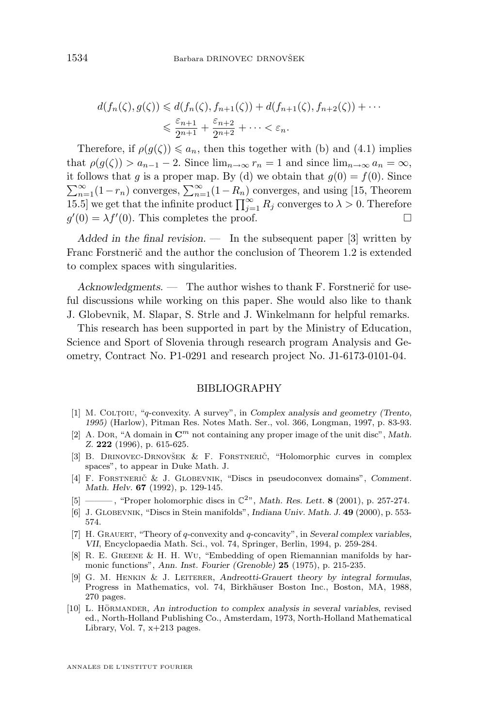<span id="page-14-0"></span>
$$
d(f_n(\zeta), g(\zeta)) \leq d(f_n(\zeta), f_{n+1}(\zeta)) + d(f_{n+1}(\zeta), f_{n+2}(\zeta)) + \cdots
$$
  

$$
\leq \frac{\varepsilon_{n+1}}{2^{n+1}} + \frac{\varepsilon_{n+2}}{2^{n+2}} + \cdots < \varepsilon_n.
$$

Therefore, if  $\rho(g(\zeta)) \leq a_n$ , then this together with (b) and [\(4.1\)](#page-13-0) implies that  $\rho(g(\zeta)) > a_{n-1} - 2$ . Since  $\lim_{n \to \infty} r_n = 1$  and since  $\lim_{n \to \infty} a_n = \infty$ , it follows that g is a proper map. By (d) we obtain that  $g(0) = f(0)$ . Since  $\sum_{n=1}^{\infty} (1 - r_n)$  converges,  $\sum_{n=1}^{\infty} (1 - R_n)$  converges, and using [\[15,](#page-15-0) Theorem 15.5] we get that the infinite product  $\prod_{j=1}^{\infty} R_j$  converges to  $\lambda > 0$ . Therefore  $g'(0) = \lambda f'(0)$ . This completes the proof.

*Added in the final revision. —* In the subsequent paper [3] written by Franc Forstnerič and the author the conclusion of Theorem [1.2](#page-2-0) is extended to complex spaces with singularities.

*Acknowledgments. —* The author wishes to thank F. Forstnerič for useful discussions while working on this paper. She would also like to thank J. Globevnik, M. Slapar, S. Strle and J. Winkelmann for helpful remarks.

This research has been supported in part by the Ministry of Education, Science and Sport of Slovenia through research program Analysis and Geometry, Contract No. P1-0291 and research project No. J1-6173-0101-04.

#### BIBLIOGRAPHY

- [1] M. COLTOIU, "q-convexity. A survey", in *Complex analysis and geometry (Trento*, *1995)* (Harlow), Pitman Res. Notes Math. Ser., vol. 366, Longman, 1997, p. 83-93.
- [2] A. Dor, "A domain in  $\mathbb{C}^m$  not containing any proper image of the unit disc", Math. *Z.* **222** (1996), p. 615-625.
- [3] B. Drinovec-Drnovšek & F. Forstnerič, "Holomorphic curves in complex spaces", to appear in Duke Math. J.
- [4] F. Forstnerič & J. Globevnik, "Discs in pseudoconvex domains", *Comment. Math. Helv.* **67** (1992), p. 129-145.
- [5] ——— , "Proper holomorphic discs in C2", *Math. Res. Lett.* **8** (2001), p. 257-274.
- [6] J. Globevnik, "Discs in Stein manifolds", *Indiana Univ. Math. J.* **49** (2000), p. 553- 574.
- [7] H. Grauert, "Theory of q-convexity and q-concavity", in *Several complex variables, VII*, Encyclopaedia Math. Sci., vol. 74, Springer, Berlin, 1994, p. 259-284.
- [8] R. E. Greene & H. H. Wu, "Embedding of open Riemannian manifolds by harmonic functions", *Ann. Inst. Fourier (Grenoble)* **25** (1975), p. 215-235.
- [9] G. M. Henkin & J. Leiterer, *Andreotti-Grauert theory by integral formulas*, Progress in Mathematics, vol. 74, Birkhäuser Boston Inc., Boston, MA, 1988, 270 pages.
- [10] L. Hörmander, *An introduction to complex analysis in several variables*, revised ed., North-Holland Publishing Co., Amsterdam, 1973, North-Holland Mathematical Library, Vol. 7,  $x+213$  pages.